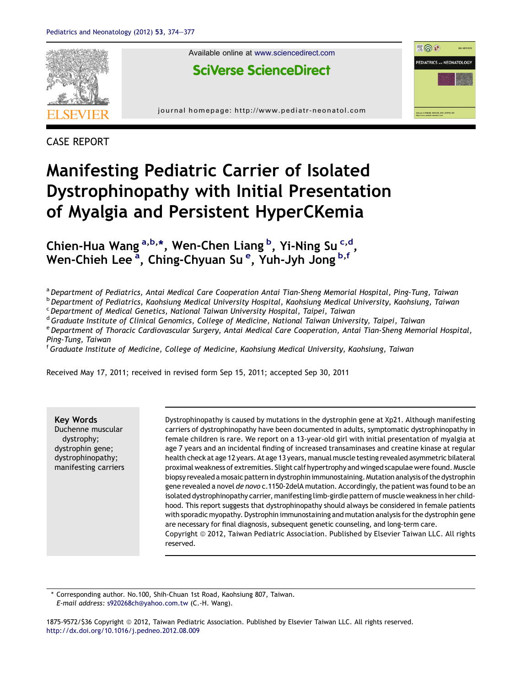

CASE REPORT

# Manifesting Pediatric Carrier of Isolated Dystrophinopathy with Initial Presentation of Myalgia and Persistent HyperCKemia

Chien-Hua Wang <sup>a,b,\*</sup>, Wen-Chen Liang <sup>b</sup>, Yi-Ning Su<sup>c,d</sup>, Wen-Chieh Lee<sup>a</sup>, Ching-Chyuan Su<sup>e</sup>, Yuh-Jyh Jong <sup>b,f</sup>

a Department of Pediatrics, Antai Medical Care Cooperation Antai Tian-Sheng Memorial Hospital, Ping-Tung, Taiwan

b Department of Pediatrics, Kaohsiung Medical University Hospital, Kaohsiung Medical University, Kaohsiung, Taiwan

 $c$  Department of Medical Genetics, National Taiwan University Hospital, Taipei, Taiwan

<sup>d</sup> Graduate Institute of Clinical Genomics, College of Medicine, National Taiwan University, Taipei, Taiwan

<sup>e</sup> Department of Thoracic Cardiovascular Surgery, Antai Medical Care Cooperation, Antai Tian-Sheng Memorial Hospital, Ping-Tung, Taiwan

<sup>f</sup> Graduate Institute of Medicine, College of Medicine, Kaohsiung Medical University, Kaohsiung, Taiwan

Received May 17, 2011; received in revised form Sep 15, 2011; accepted Sep 30, 2011

Key Words Duchenne muscular dystrophy; dystrophin gene; dystrophinopathy; manifesting carriers Dystrophinopathy is caused by mutations in the dystrophin gene at Xp21. Although manifesting carriers of dystrophinopathy have been documented in adults, symptomatic dystrophinopathy in female children is rare. We report on a 13-year-old girl with initial presentation of myalgia at age 7 years and an incidental finding of increased transaminases and creatine kinase at regular health check at age 12 years. At age 13 years, manual muscle testing revealed asymmetric bilateral proximal weakness of extremities. Slight calf hypertrophy and winged scapulae were found. Muscle biopsy revealed amosaic patternin dystrophin immunostaining. Mutation analysis of the dystrophin gene revealed a novel de novo c.1150-2delA mutation. Accordingly, the patient was found to be an isolated dystrophinopathy carrier, manifesting limb-girdle pattern of muscle weakness in her childhood. This report suggests that dystrophinopathy should always be considered in female patients with sporadic myopathy. Dystrophin immunostaining and mutation analysis for the dystrophin gene are necessary for final diagnosis, subsequent genetic counseling, and long-term care. Copyright © 2012, Taiwan Pediatric Association. Published by Elsevier Taiwan LLC. All rights reserved.

\* Corresponding author. No.100, Shih-Chuan 1st Road, Kaohsiung 807, Taiwan. E-mail address: [s920268ch@yahoo.com.tw](mailto:s920268ch@yahoo.com.tw) (C.-H. Wang).

1875-9572/\$36 Copyright @ 2012, Taiwan Pediatric Association. Published by Elsevier Taiwan LLC. All rights reserved. <http://dx.doi.org/10.1016/j.pedneo.2012.08.009>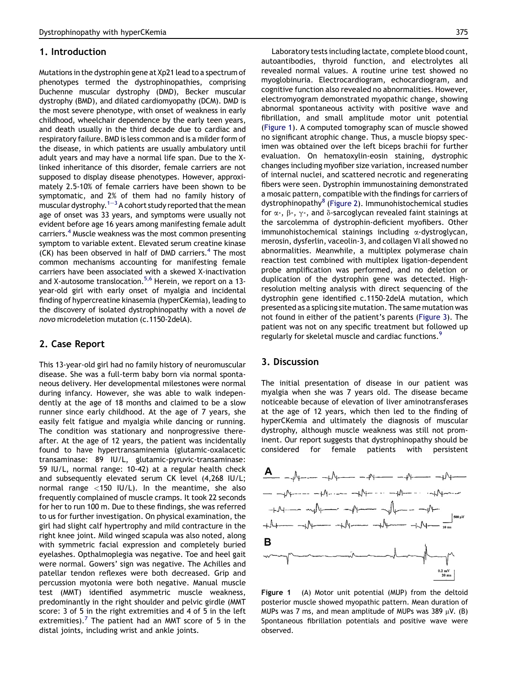#### 1. Introduction

Mutations in the dystrophin gene at Xp21 lead to a spectrum of phenotypes termed the dystrophinopathies, comprising Duchenne muscular dystrophy (DMD), Becker muscular dystrophy (BMD), and dilated cardiomyopathy (DCM). DMD is the most severe phenotype, with onset of weakness in early childhood, wheelchair dependence by the early teen years, and death usually in the third decade due to cardiac and respiratory failure. BMD is less common and is a milder form of the disease, in which patients are usually ambulatory until adult years and may have a normal life span. Due to the Xlinked inheritance of this disorder, female carriers are not supposed to display disease phenotypes. However, approximately 2.5-10% of female carriers have been shown to be symptomatic, and 2% of them had no family history of muscular dystrophy.<sup>[1](#page-3-0)-[3](#page-3-0)</sup> A cohort study reported that the mean age of onset was 33 years, and symptoms were usually not evident before age 16 years among manifesting female adult carriers.[4](#page-3-0) Muscle weakness was the most common presenting symptom to variable extent. Elevated serum creatine kinase  $(CK)$  has been observed in half of DMD carriers. $4$  The most common mechanisms accounting for manifesting female carriers have been associated with a skewed X-inactivation and X-autosome translocation.<sup>[5,6](#page-3-0)</sup> Herein, we report on a 13year-old girl with early onset of myalgia and incidental finding of hypercreatine kinasemia (hyperCKemia), leading to the discovery of isolated dystrophinopathy with a novel de novo microdeletion mutation (c.1150-2delA).

### 2. Case Report

This 13-year-old girl had no family history of neuromuscular disease. She was a full-term baby born via normal spontaneous delivery. Her developmental milestones were normal during infancy. However, she was able to walk independently at the age of 18 months and claimed to be a slow runner since early childhood. At the age of 7 years, she easily felt fatigue and myalgia while dancing or running. The condition was stationary and nonprogressive thereafter. At the age of 12 years, the patient was incidentally found to have hypertransaminemia (glutamic-oxalacetic transaminase: 89 IU/L, glutamic-pyruvic-transaminase: 59 IU/L, normal range: 10-42) at a regular health check and subsequently elevated serum CK level (4,268 IU/L; normal range <150 IU/L). In the meantime, she also frequently complained of muscle cramps. It took 22 seconds for her to run 100 m. Due to these findings, she was referred to us for further investigation. On physical examination, the girl had slight calf hypertrophy and mild contracture in the right knee joint. Mild winged scapula was also noted, along with symmetric facial expression and completely buried eyelashes. Opthalmoplegia was negative. Toe and heel gait were normal. Gowers' sign was negative. The Achilles and patellar tendon reflexes were both decreased. Grip and percussion myotonia were both negative. Manual muscle test (MMT) identified asymmetric muscle weakness, predominantly in the right shoulder and pelvic girdle (MMT score: 3 of 5 in the right extremities and 4 of 5 in the left extremities). The patient had an MMT score of 5 in the distal joints, including wrist and ankle joints.

Laboratory tests including lactate, complete blood count, autoantibodies, thyroid function, and electrolytes all revealed normal values. A routine urine test showed no myoglobinuria. Electrocardiogram, echocardiogram, and cognitive function also revealed no abnormalities. However, electromyogram demonstrated myopathic change, showing abnormal spontaneous activity with positive wave and fibrillation, and small amplitude motor unit potential (Figure 1). A computed tomography scan of muscle showed no significant atrophic change. Thus, a muscle biopsy specimen was obtained over the left biceps brachii for further evaluation. On hematoxylin-eosin staining, dystrophic changes including myofiber size variation, increased number of internal nuclei, and scattered necrotic and regenerating fibers were seen. Dystrophin immunostaining demonstrated a mosaic pattern, compatible with the findings for carriers of dystrophinopathy<sup>[8](#page-3-0)</sup> ([Figure 2\)](#page-2-0). Immunohistochemical studies for  $\alpha$ -,  $\beta$ -,  $\gamma$ -, and  $\delta$ -sarcoglycan revealed faint stainings at the sarcolemma of dystrophin-deficient myofibers. Other immunohistochemical stainings including  $\alpha$ -dystroglycan, merosin, dysferlin, vaceolin-3, and collagen VI all showed no abnormalities. Meanwhile, a multiplex polymerase chain reaction test combined with multiplex ligation-dependent probe amplification was performed, and no deletion or duplication of the dystrophin gene was detected. Highresolution melting analysis with direct sequencing of the dystrophin gene identified c.1150-2delA mutation, which presented as a splicing site mutation. The same mutation was not found in either of the patient's parents [\(Figure 3](#page-2-0)). The patient was not on any specific treatment but followed up regularly for skeletal muscle and cardiac functions.<sup>[9](#page-3-0)</sup>

### 3. Discussion

The initial presentation of disease in our patient was myalgia when she was 7 years old. The disease became noticeable because of elevation of liver aminotransferases at the age of 12 years, which then led to the finding of hyperCKemia and ultimately the diagnosis of muscular dystrophy, although muscle weakness was still not prominent. Our report suggests that dystrophinopathy should be considered for female patients with persistent



Figure 1 (A) Motor unit potential (MUP) from the deltoid posterior muscle showed myopathic pattern. Mean duration of MUPs was 7 ms, and mean amplitude of MUPs was 389  $\mu$ V. (B) Spontaneous fibrillation potentials and positive wave were observed.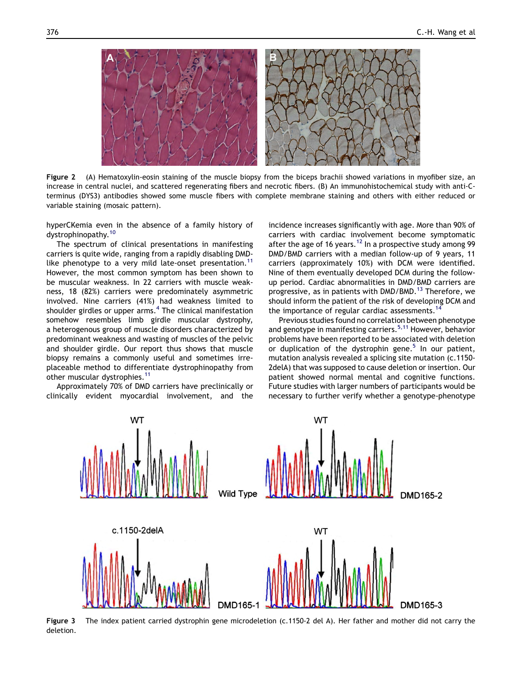<span id="page-2-0"></span>

Figure 2 (A) Hematoxylin-eosin staining of the muscle biopsy from the biceps brachii showed variations in myofiber size, an increase in central nuclei, and scattered regenerating fibers and necrotic fibers. (B) An immunohistochemical study with anti-Cterminus (DYS3) antibodies showed some muscle fibers with complete membrane staining and others with either reduced or variable staining (mosaic pattern).

hyperCKemia even in the absence of a family history of dystrophinopathy.<sup>[10](#page-3-0)</sup>

The spectrum of clinical presentations in manifesting carriers is quite wide, ranging from a rapidly disabling DMD-like phenotype to a very mild late-onset presentation.<sup>[11](#page-3-0)</sup> However, the most common symptom has been shown to be muscular weakness. In 22 carriers with muscle weakness, 18 (82%) carriers were predominately asymmetric involved. Nine carriers (41%) had weakness limited to shoulder girdles or upper  $arms.<sup>4</sup>$  $arms.<sup>4</sup>$  $arms.<sup>4</sup>$  The clinical manifestation somehow resembles limb girdle muscular dystrophy, a heterogenous group of muscle disorders characterized by predominant weakness and wasting of muscles of the pelvic and shoulder girdle. Our report thus shows that muscle biopsy remains a commonly useful and sometimes irreplaceable method to differentiate dystrophinopathy from other muscular dystrophies.<sup>[11](#page-3-0)</sup>

Approximately 70% of DMD carriers have preclinically or clinically evident myocardial involvement, and the incidence increases significantly with age. More than 90% of carriers with cardiac involvement become symptomatic after the age of 16 years.<sup>12</sup> In a prospective study among 99 DMD/BMD carriers with a median follow-up of 9 years, 11 carriers (approximately 10%) with DCM were identified. Nine of them eventually developed DCM during the followup period. Cardiac abnormalities in DMD/BMD carriers are progressive, as in patients with DMD/BMD.<sup>[13](#page-3-0)</sup> Therefore, we should inform the patient of the risk of developing DCM and the importance of regular cardiac assessments.<sup>[14](#page-3-0)</sup>

Previous studies found no correlation between phenotype and genotype in manifesting carriers.<sup>[5,11](#page-3-0)</sup> However, behavior problems have been reported to be associated with deletion or duplication of the dystrophin gene.<sup>5</sup> In our patient, mutation analysis revealed a splicing site mutation (c.1150- 2delA) that was supposed to cause deletion or insertion. Our patient showed normal mental and cognitive functions. Future studies with larger numbers of participants would be necessary to further verify whether a genotype-phenotype



Figure 3 The index patient carried dystrophin gene microdeletion (c.1150-2 del A). Her father and mother did not carry the deletion.